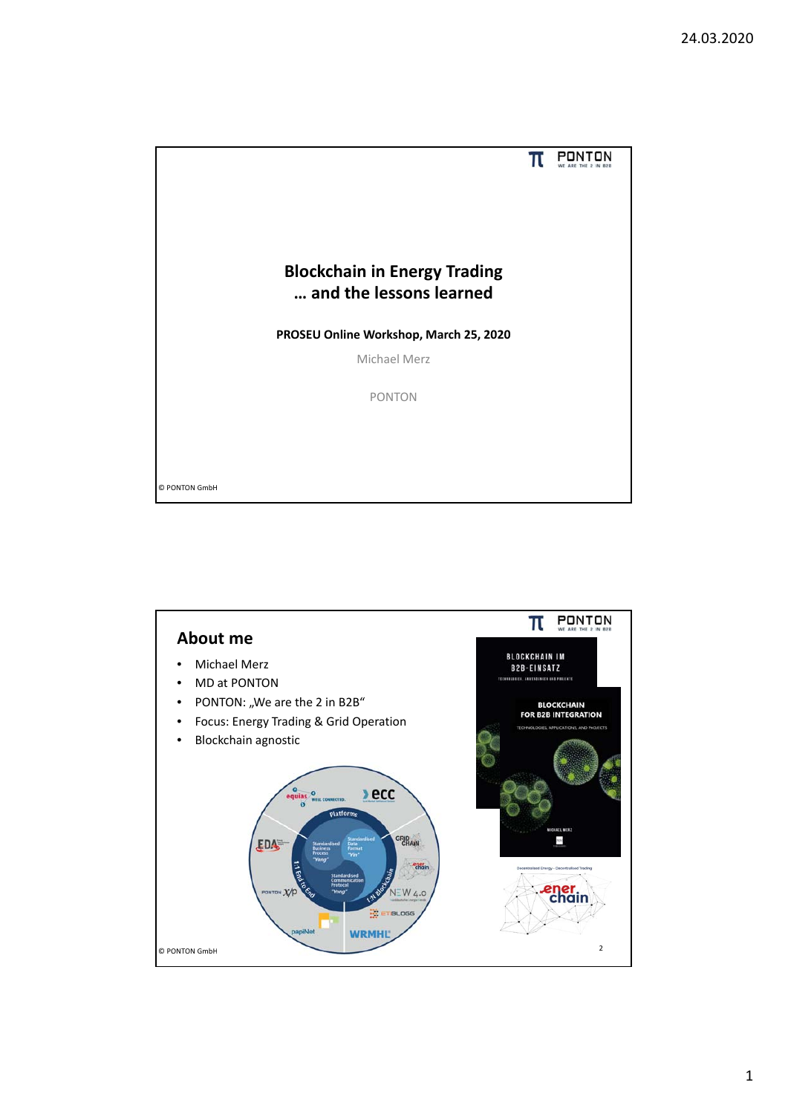

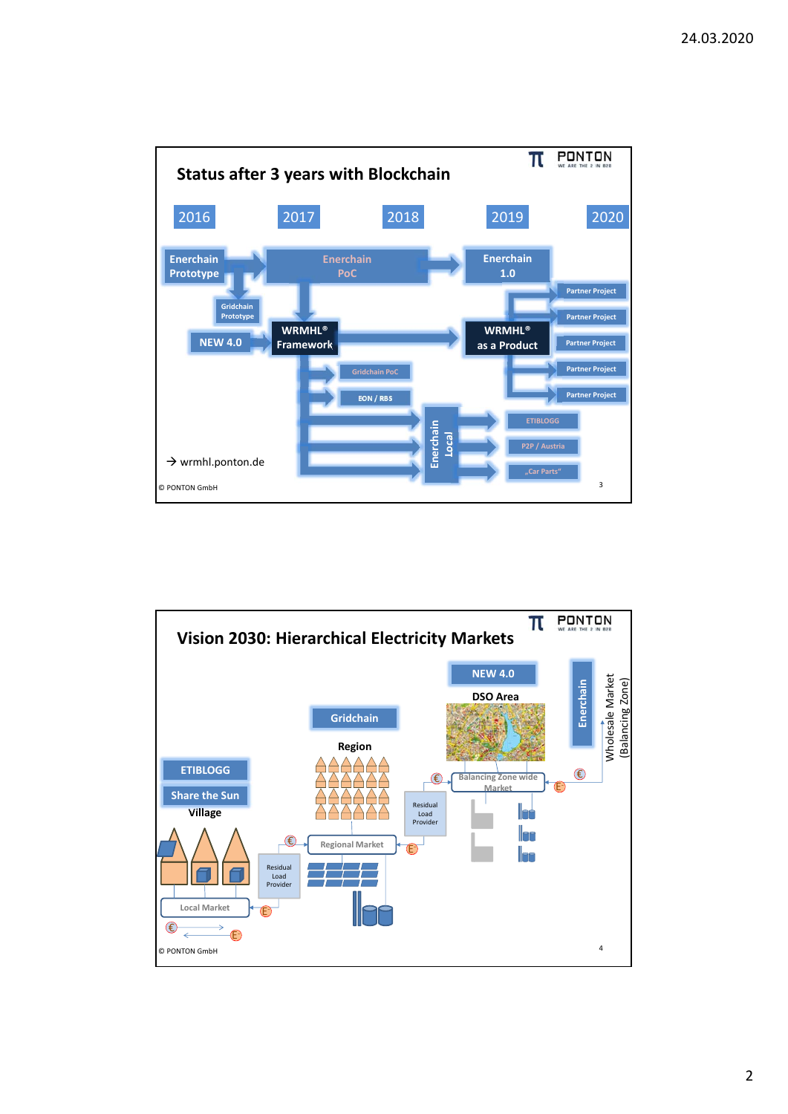

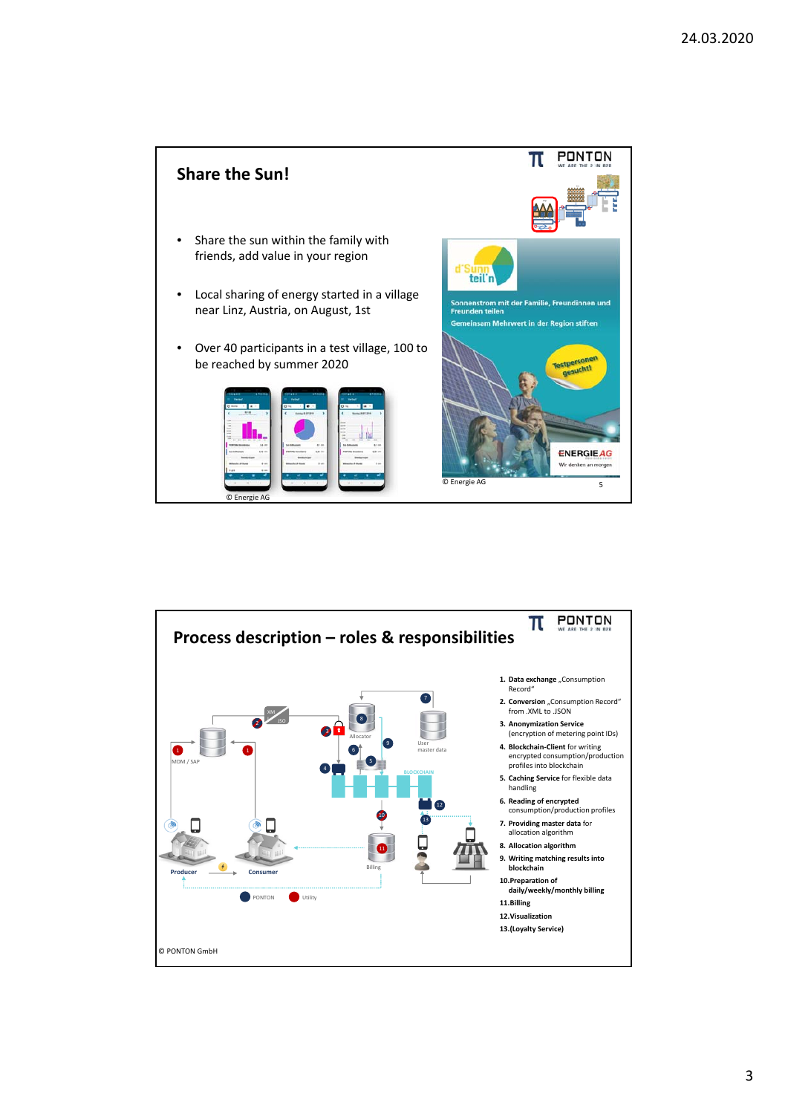

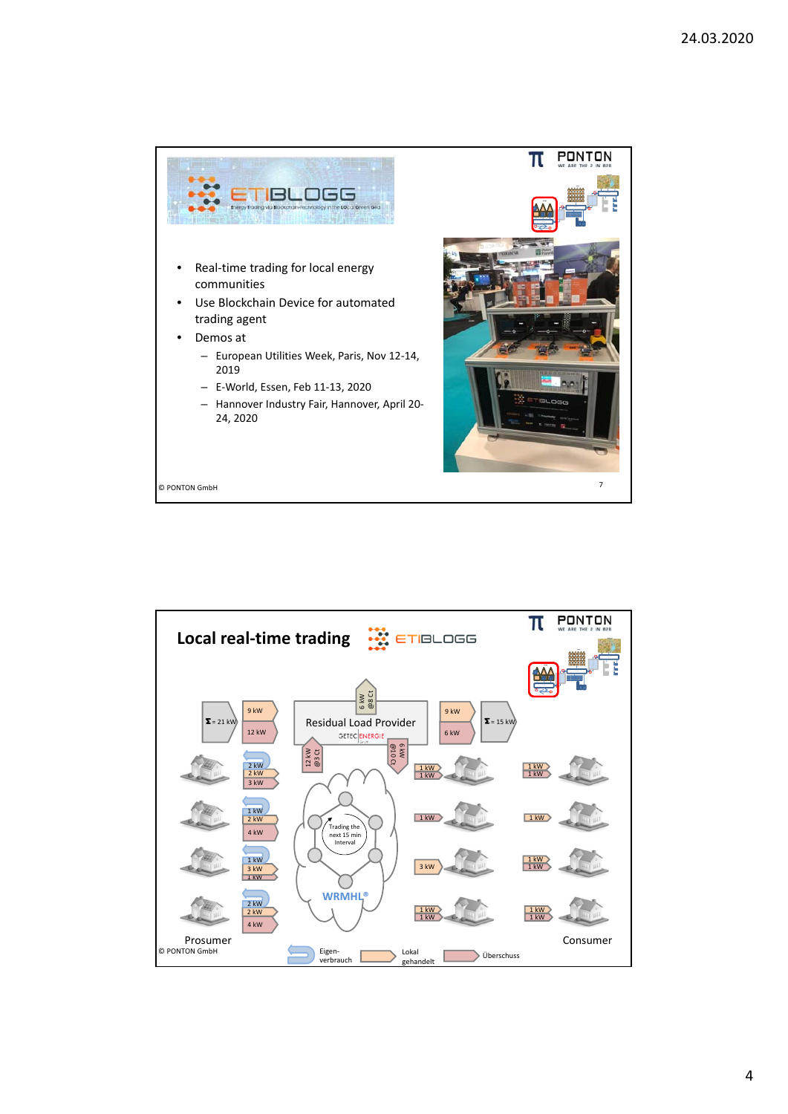